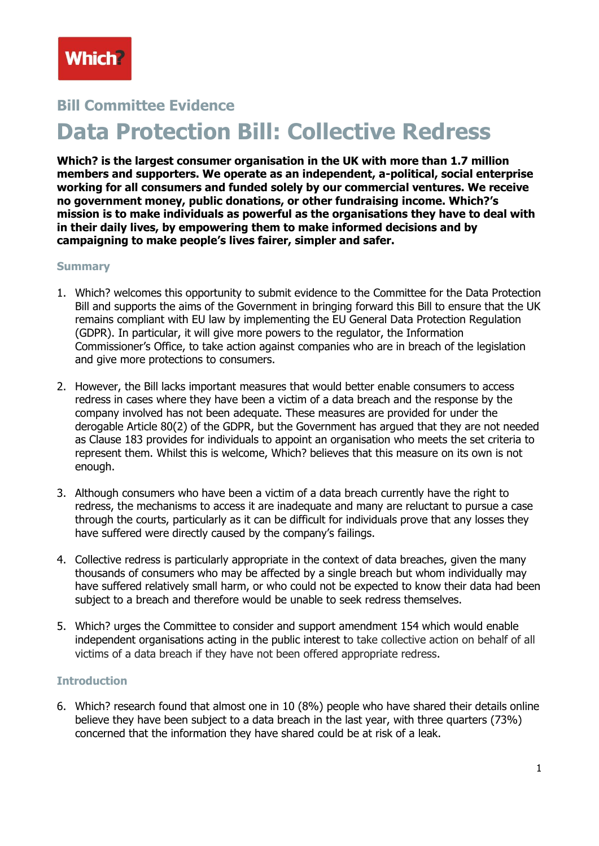# **Bill Committee Evidence Data Protection Bill: Collective Redress**

**Which? is the largest consumer organisation in the UK with more than 1.7 million members and supporters. We operate as an independent, a-political, social enterprise working for all consumers and funded solely by our commercial ventures. We receive no government money, public donations, or other fundraising income. Which?'s mission is to make individuals as powerful as the organisations they have to deal with in their daily lives, by empowering them to make informed decisions and by campaigning to make people's lives fairer, simpler and safer.**

#### **Summary**

- 1. Which? welcomes this opportunity to submit evidence to the Committee for the Data Protection Bill and supports the aims of the Government in bringing forward this Bill to ensure that the UK remains compliant with EU law by implementing the EU General Data Protection Regulation (GDPR). In particular, it will give more powers to the regulator, the Information Commissioner's Office, to take action against companies who are in breach of the legislation and give more protections to consumers.
- 2. However, the Bill lacks important measures that would better enable consumers to access redress in cases where they have been a victim of a data breach and the response by the company involved has not been adequate. These measures are provided for under the derogable Article 80(2) of the GDPR, but the Government has argued that they are not needed as Clause 183 provides for individuals to appoint an organisation who meets the set criteria to represent them. Whilst this is welcome, Which? believes that this measure on its own is not enough.
- 3. Although consumers who have been a victim of a data breach currently have the right to redress, the mechanisms to access it are inadequate and many are reluctant to pursue a case through the courts, particularly as it can be difficult for individuals prove that any losses they have suffered were directly caused by the company's failings.
- 4. Collective redress is particularly appropriate in the context of data breaches, given the many thousands of consumers who may be affected by a single breach but whom individually may have suffered relatively small harm, or who could not be expected to know their data had been subject to a breach and therefore would be unable to seek redress themselves.
- 5. Which? urges the Committee to consider and support amendment 154 which would enable independent organisations acting in the public interest to take collective action on behalf of all victims of a data breach if they have not been offered appropriate redress.

#### **Introduction**

6. Which? research found that almost one in 10 (8%) people who have shared their details online believe they have been subject to a data breach in the last year, with three quarters (73%) concerned that the information they have shared could be at risk of a leak.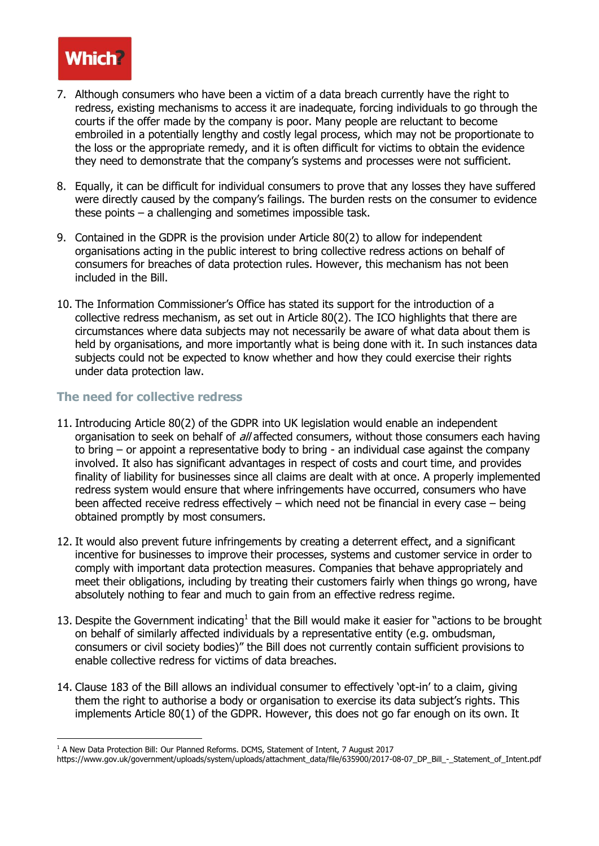# **Which**

- 7. Although consumers who have been a victim of a data breach currently have the right to redress, existing mechanisms to access it are inadequate, forcing individuals to go through the courts if the offer made by the company is poor. Many people are reluctant to become embroiled in a potentially lengthy and costly legal process, which may not be proportionate to the loss or the appropriate remedy, and it is often difficult for victims to obtain the evidence they need to demonstrate that the company's systems and processes were not sufficient.
- 8. Equally, it can be difficult for individual consumers to prove that any losses they have suffered were directly caused by the company's failings. The burden rests on the consumer to evidence these points – a challenging and sometimes impossible task.
- 9. Contained in the GDPR is the provision under Article 80(2) to allow for independent organisations acting in the public interest to bring collective redress actions on behalf of consumers for breaches of data protection rules. However, this mechanism has not been included in the Bill.
- 10. The Information Commissioner's Office has stated its support for the introduction of a collective redress mechanism, as set out in Article 80(2). The ICO highlights that there are circumstances where data subjects may not necessarily be aware of what data about them is held by organisations, and more importantly what is being done with it. In such instances data subjects could not be expected to know whether and how they could exercise their rights under data protection law.

## **The need for collective redress**

- 11. Introducing Article 80(2) of the GDPR into UK legislation would enable an independent organisation to seek on behalf of all affected consumers, without those consumers each having to bring – or appoint a representative body to bring - an individual case against the company involved. It also has significant advantages in respect of costs and court time, and provides finality of liability for businesses since all claims are dealt with at once. A properly implemented redress system would ensure that where infringements have occurred, consumers who have been affected receive redress effectively – which need not be financial in every case – being obtained promptly by most consumers.
- 12. It would also prevent future infringements by creating a deterrent effect, and a significant incentive for businesses to improve their processes, systems and customer service in order to comply with important data protection measures. Companies that behave appropriately and meet their obligations, including by treating their customers fairly when things go wrong, have absolutely nothing to fear and much to gain from an effective redress regime.
- 13. Despite the Government indicating<sup>1</sup> that the Bill would make it easier for "actions to be brought on behalf of similarly affected individuals by a representative entity (e.g. ombudsman, consumers or civil society bodies)" the Bill does not currently contain sufficient provisions to enable collective redress for victims of data breaches.
- 14. Clause 183 of the Bill allows an individual consumer to effectively 'opt-in' to a claim, giving them the right to authorise a body or organisation to exercise its data subject's rights. This implements Article 80(1) of the GDPR. However, this does not go far enough on its own. It

<sup>&</sup>lt;u>.</u>  $1$  A New Data Protection Bill: Our Planned Reforms. DCMS, Statement of Intent, 7 August 2017

https://www.gov.uk/government/uploads/system/uploads/attachment\_data/file/635900/2017-08-07\_DP\_Bill\_-\_Statement\_of\_Intent.pdf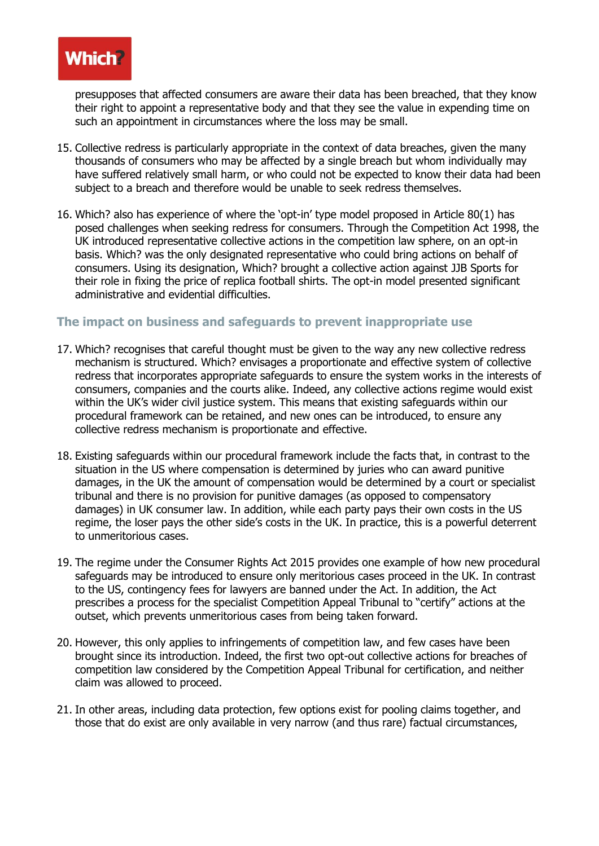

presupposes that affected consumers are aware their data has been breached, that they know their right to appoint a representative body and that they see the value in expending time on such an appointment in circumstances where the loss may be small.

- 15. Collective redress is particularly appropriate in the context of data breaches, given the many thousands of consumers who may be affected by a single breach but whom individually may have suffered relatively small harm, or who could not be expected to know their data had been subject to a breach and therefore would be unable to seek redress themselves.
- 16. Which? also has experience of where the 'opt-in' type model proposed in Article 80(1) has posed challenges when seeking redress for consumers. Through the Competition Act 1998, the UK introduced representative collective actions in the competition law sphere, on an opt-in basis. Which? was the only designated representative who could bring actions on behalf of consumers. Using its designation, Which? brought a collective action against JJB Sports for their role in fixing the price of replica football shirts. The opt-in model presented significant administrative and evidential difficulties.

## **The impact on business and safeguards to prevent inappropriate use**

- 17. Which? recognises that careful thought must be given to the way any new collective redress mechanism is structured. Which? envisages a proportionate and effective system of collective redress that incorporates appropriate safeguards to ensure the system works in the interests of consumers, companies and the courts alike. Indeed, any collective actions regime would exist within the UK's wider civil justice system. This means that existing safeguards within our procedural framework can be retained, and new ones can be introduced, to ensure any collective redress mechanism is proportionate and effective.
- 18. Existing safeguards within our procedural framework include the facts that, in contrast to the situation in the US where compensation is determined by juries who can award punitive damages, in the UK the amount of compensation would be determined by a court or specialist tribunal and there is no provision for punitive damages (as opposed to compensatory damages) in UK consumer law. In addition, while each party pays their own costs in the US regime, the loser pays the other side's costs in the UK. In practice, this is a powerful deterrent to unmeritorious cases.
- 19. The regime under the Consumer Rights Act 2015 provides one example of how new procedural safeguards may be introduced to ensure only meritorious cases proceed in the UK. In contrast to the US, contingency fees for lawyers are banned under the Act. In addition, the Act prescribes a process for the specialist Competition Appeal Tribunal to "certify" actions at the outset, which prevents unmeritorious cases from being taken forward.
- 20. However, this only applies to infringements of competition law, and few cases have been brought since its introduction. Indeed, the first two opt-out collective actions for breaches of competition law considered by the Competition Appeal Tribunal for certification, and neither claim was allowed to proceed.
- 21. In other areas, including data protection, few options exist for pooling claims together, and those that do exist are only available in very narrow (and thus rare) factual circumstances,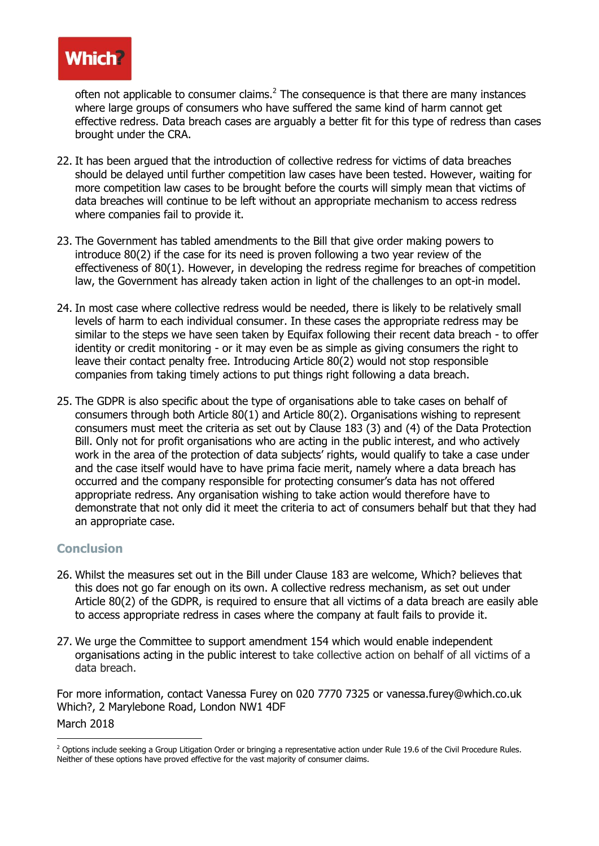

often not applicable to consumer claims. $<sup>2</sup>$  The consequence is that there are many instances</sup> where large groups of consumers who have suffered the same kind of harm cannot get effective redress. Data breach cases are arguably a better fit for this type of redress than cases brought under the CRA.

- 22. It has been argued that the introduction of collective redress for victims of data breaches should be delayed until further competition law cases have been tested. However, waiting for more competition law cases to be brought before the courts will simply mean that victims of data breaches will continue to be left without an appropriate mechanism to access redress where companies fail to provide it.
- 23. The Government has tabled amendments to the Bill that give order making powers to introduce 80(2) if the case for its need is proven following a two year review of the effectiveness of 80(1). However, in developing the redress regime for breaches of competition law, the Government has already taken action in light of the challenges to an opt-in model.
- 24. In most case where collective redress would be needed, there is likely to be relatively small levels of harm to each individual consumer. In these cases the appropriate redress may be similar to the steps we have seen taken by Equifax following their recent data breach - to offer identity or credit monitoring - or it may even be as simple as giving consumers the right to leave their contact penalty free. Introducing Article 80(2) would not stop responsible companies from taking timely actions to put things right following a data breach.
- 25. The GDPR is also specific about the type of organisations able to take cases on behalf of consumers through both Article 80(1) and Article 80(2). Organisations wishing to represent consumers must meet the criteria as set out by Clause 183 (3) and (4) of the Data Protection Bill. Only not for profit organisations who are acting in the public interest, and who actively work in the area of the protection of data subjects' rights, would qualify to take a case under and the case itself would have to have prima facie merit, namely where a data breach has occurred and the company responsible for protecting consumer's data has not offered appropriate redress. Any organisation wishing to take action would therefore have to demonstrate that not only did it meet the criteria to act of consumers behalf but that they had an appropriate case.

#### **Conclusion**

- 26. Whilst the measures set out in the Bill under Clause 183 are welcome, Which? believes that this does not go far enough on its own. A collective redress mechanism, as set out under Article 80(2) of the GDPR, is required to ensure that all victims of a data breach are easily able to access appropriate redress in cases where the company at fault fails to provide it.
- 27. We urge the Committee to support amendment 154 which would enable independent organisations acting in the public interest to take collective action on behalf of all victims of a data breach.

For more information, contact Vanessa Furey on 020 7770 7325 or vanessa.furey@which.co.uk Which?, 2 Marylebone Road, London NW1 4DF March 2018

<sup>&</sup>lt;u>.</u> <sup>2</sup> Options include seeking a Group Litigation Order or bringing a representative action under Rule 19.6 of the Civil Procedure Rules. Neither of these options have proved effective for the vast majority of consumer claims.